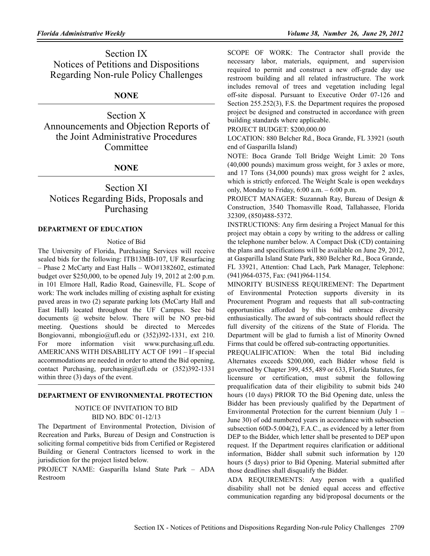# **NONE**

Section X Announcements and Objection Reports of the Joint Administrative Procedures **Committee** 

# **NONE**

# Section XI Notices Regarding Bids, Proposals and Purchasing

## **DEPARTMENT OF EDUCATION**

#### Notice of Bid

The University of Florida, Purchasing Services will receive sealed bids for the following: ITB13MB-107, UF Resurfacing – Phase 2 McCarty and East Halls – WO#1382602, estimated budget over \$250,000, to be opened July 19, 2012 at 2:00 p.m. in 101 Elmore Hall, Radio Road, Gainesville, FL. Scope of work: The work includes milling of existing asphalt for existing paved areas in two (2) separate parking lots (McCarty Hall and East Hall) located throughout the UF Campus. See bid documents @ website below. There will be NO pre-bid meeting. Questions should be directed to Mercedes Bongiovanni, mbongio@ufl.edu or (352)392-1331, ext 210. For more information visit www.purchasing.ufl.edu. AMERICANS WITH DISABILITY ACT OF 1991 – If special accommodations are needed in order to attend the Bid opening, contact Purchasing, purchasing@ufl.edu or (352)392-1331 within three  $(3)$  days of the event.

## **DEPARTMENT OF ENVIRONMENTAL PROTECTION**

## NOTICE OF INVITATION TO BID BID NO. BDC 01-12/13

The Department of Environmental Protection, Division of Recreation and Parks, Bureau of Design and Construction is soliciting formal competitive bids from Certified or Registered Building or General Contractors licensed to work in the jurisdiction for the project listed below.

PROJECT NAME: Gasparilla Island State Park – ADA Restroom

SCOPE OF WORK: The Contractor shall provide the necessary labor, materials, equipment, and supervision required to permit and construct a new off-grade day use restroom building and all related infrastructure. The work includes removal of trees and vegetation including legal off-site disposal. Pursuant to Executive Order 07-126 and Section 255.252(3), F.S. the Department requires the proposed project be designed and constructed in accordance with green building standards where applicable.

PROJECT BUDGET: \$200,000.00

LOCATION: 880 Belcher Rd., Boca Grande, FL 33921 (south end of Gasparilla Island)

NOTE: Boca Grande Toll Bridge Weight Limit: 20 Tons (40,000 pounds) maximum gross weight, for 3 axles or more, and 17 Tons (34,000 pounds) max gross weight for 2 axles, which is strictly enforced. The Weight Scale is open weekdays only, Monday to Friday,  $6:00$  a.m.  $-6:00$  p.m.

PROJECT MANAGER: Suzannah Ray, Bureau of Design & Construction, 3540 Thomasville Road, Tallahassee, Florida 32309, (850)488-5372.

INSTRUCTIONS: Any firm desiring a Project Manual for this project may obtain a copy by writing to the address or calling the telephone number below. A Compact Disk (CD) containing the plans and specifications will be available on June 29, 2012, at Gasparilla Island State Park, 880 Belcher Rd., Boca Grande, FL 33921, Attention: Chad Lach, Park Manager, Telephone: (941)964-0375, Fax: (941)964-1154.

MINORITY BUSINESS REQUIREMENT: The Department of Environmental Protection supports diversity in its Procurement Program and requests that all sub-contracting opportunities afforded by this bid embrace diversity enthusiastically. The award of sub-contracts should reflect the full diversity of the citizens of the State of Florida. The Department will be glad to furnish a list of Minority Owned Firms that could be offered sub-contracting opportunities.

PREQUALIFICATION: When the total Bid including Alternates exceeds \$200,000, each Bidder whose field is governed by Chapter 399, 455, 489 or 633, Florida Statutes, for licensure or certification, must submit the following prequalification data of their eligibility to submit bids 240 hours (10 days) PRIOR TO the Bid Opening date, unless the Bidder has been previously qualified by the Department of Environmental Protection for the current biennium (July 1 – June 30) of odd numbered years in accordance with subsection subsection 60D-5.004(2), F.A.C., as evidenced by a letter from DEP to the Bidder, which letter shall be presented to DEP upon request. If the Department requires clarification or additional information, Bidder shall submit such information by 120 hours (5 days) prior to Bid Opening. Material submitted after those deadlines shall disqualify the Bidder.

ADA REQUIREMENTS: Any person with a qualified disability shall not be denied equal access and effective communication regarding any bid/proposal documents or the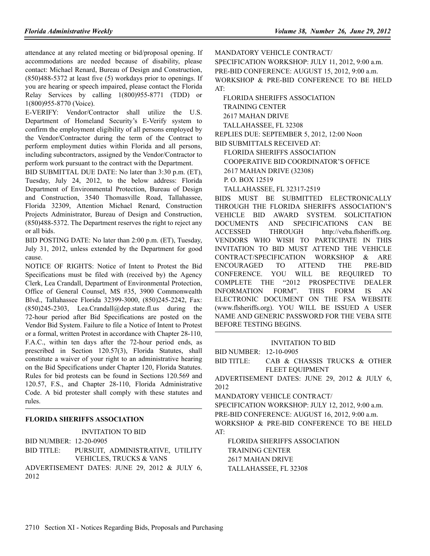attendance at any related meeting or bid/proposal opening. If accommodations are needed because of disability, please contact: Michael Renard, Bureau of Design and Construction, (850)488-5372 at least five (5) workdays prior to openings. If you are hearing or speech impaired, please contact the Florida Relay Services by calling 1(800)955-8771 (TDD) or 1(800)955-8770 (Voice).

E-VERIFY: Vendor/Contractor shall utilize the U.S. Department of Homeland Security's E-Verify system to confirm the employment eligibility of all persons employed by the Vendor/Contractor during the term of the Contract to perform employment duties within Florida and all persons, including subcontractors, assigned by the Vendor/Contractor to perform work pursuant to the contract with the Department.

BID SUBMITTAL DUE DATE: No later than 3:30 p.m. (ET), Tuesday, July 24, 2012, to the below address: Florida Department of Environmental Protection, Bureau of Design and Construction, 3540 Thomasville Road, Tallahassee, Florida 32309, Attention Michael Renard, Construction Projects Administrator, Bureau of Design and Construction, (850)488-5372. The Department reserves the right to reject any or all bids.

BID POSTING DATE: No later than 2:00 p.m. (ET), Tuesday, July 31, 2012, unless extended by the Department for good cause.

NOTICE OF RIGHTS: Notice of Intent to Protest the Bid Specifications must be filed with (received by) the Agency Clerk, Lea Crandall, Department of Environmental Protection, Office of General Counsel, MS #35, 3900 Commonwealth Blvd., Tallahassee Florida 32399-3000, (850)245-2242, Fax: (850)245-2303, Lea.Crandall@dep.state.fl.us during the 72-hour period after Bid Specifications are posted on the Vendor Bid System. Failure to file a Notice of Intent to Protest or a formal, written Protest in accordance with Chapter 28-110, F.A.C., within ten days after the 72-hour period ends, as prescribed in Section 120.57(3), Florida Statutes, shall constitute a waiver of your right to an administrative hearing on the Bid Specifications under Chapter 120, Florida Statutes. Rules for bid protests can be found in Sections 120.569 and 120.57, F.S., and Chapter 28-110, Florida Administrative Code. A bid protester shall comply with these statutes and rules.

# **FLORIDA SHERIFFS ASSOCIATION**

INVITATION TO BID

BID NUMBER: 12-20-0905

BID TITLE: PURSUIT, ADMINISTRATIVE, UTILITY VEHICLES, TRUCKS & VANS ADVERTISEMENT DATES: JUNE 29, 2012 & JULY 6, 2012

MANDATORY VEHICLE CONTRACT/

SPECIFICATION WORKSHOP: JULY 11, 2012, 9:00 a.m. PRE-BID CONFERENCE: AUGUST 15, 2012, 9:00 a.m. WORKSHOP & PRE-BID CONFERENCE TO BE HELD AT:

FLORIDA SHERIFFS ASSOCIATION TRAINING CENTER 2617 MAHAN DRIVE TALLAHASSEE, FL 32308 REPLIES DUE: SEPTEMBER 5, 2012, 12:00 Noon BID SUBMITTALS RECEIVED AT: FLORIDA SHERIFFS ASSOCIATION COOPERATIVE BID COORDINATOR'S OFFICE 2617 MAHAN DRIVE (32308) P. O. BOX 12519

TALLAHASSEE, FL 32317-2519

BIDS MUST BE SUBMITTED ELECTRONICALLY THROUGH THE FLORIDA SHERIFFS ASSOCIATION'S VEHICLE BID AWARD SYSTEM. SOLICITATION DOCUMENTS AND SPECIFICATIONS CAN BE ACCESSED THROUGH http://veba.flsheriffs.org. VENDORS WHO WISH TO PARTICIPATE IN THIS INVITATION TO BID MUST ATTEND THE VEHICLE CONTRACT/SPECIFICATION WORKSHOP & ARE ENCOURAGED TO ATTEND THE PRE-BID CONFERENCE. YOU WILL BE REQUIRED TO COMPLETE THE "2012 PROSPECTIVE DEALER INFORMATION FORM". THIS FORM IS AN ELECTRONIC DOCUMENT ON THE FSA WEBSITE (www.flsheriffs.org). YOU WILL BE ISSUED A USER NAME AND GENERIC PASSWORD FOR THE VEBA SITE BEFORE TESTING BEGINS.

INVITATION TO BID

BID NUMBER: 12-10-0905

BID TITLE: CAB & CHASSIS TRUCKS & OTHER FLEET EQUIPMENT

ADVERTISEMENT DATES: JUNE 29, 2012 & JULY 6, 2012

MANDATORY VEHICLE CONTRACT/

SPECIFICATION WORKSHOP: JULY 12, 2012, 9:00 a.m. PRE-BID CONFERENCE: AUGUST 16, 2012, 9:00 a.m. WORKSHOP & PRE-BID CONFERENCE TO BE HELD AT:

FLORIDA SHERIFFS ASSOCIATION TRAINING CENTER 2617 MAHAN DRIVE TALLAHASSEE, FL 32308